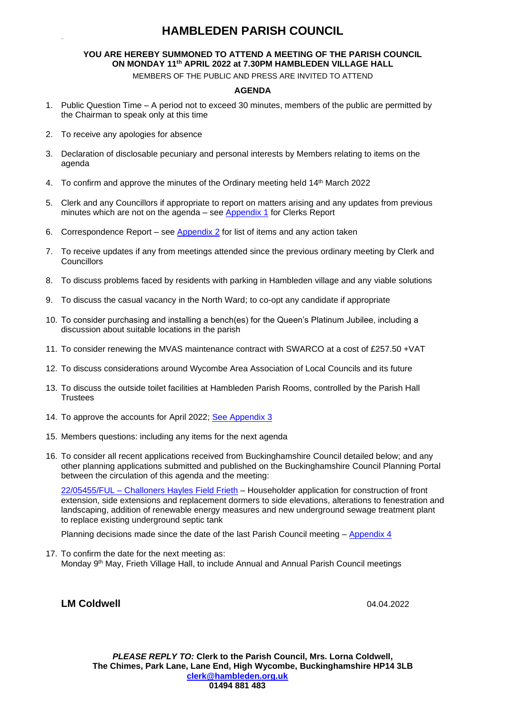### **HAMBLEDEN PARISH COUNCIL**

### **YOU ARE HEREBY SUMMONED TO ATTEND A MEETING OF THE PARISH COUNCIL ON MONDAY 11 th APRIL 2022 at 7.30PM HAMBLEDEN VILLAGE HALL**

MEMBERS OF THE PUBLIC AND PRESS ARE INVITED TO ATTEND

#### **AGENDA**

- 1. Public Question Time A period not to exceed 30 minutes, members of the public are permitted by the Chairman to speak only at this time
- 2. To receive any apologies for absence
- 3. Declaration of disclosable pecuniary and personal interests by Members relating to items on the agenda
- 4. To confirm and approve the minutes of the Ordinary meeting held 14<sup>th</sup> March 2022
- 5. Clerk and any Councillors if appropriate to report on matters arising and any updates from previous minutes which are not on the agenda – see [Appendix 1](#page-1-0) for Clerks Report
- 6. Correspondence Report see [Appendix 2](#page-1-1) for list of items and any action taken
- 7. To receive updates if any from meetings attended since the previous ordinary meeting by Clerk and **Councillors**
- 8. To discuss problems faced by residents with parking in Hambleden village and any viable solutions
- 9. To discuss the casual vacancy in the North Ward; to co-opt any candidate if appropriate
- 10. To consider purchasing and installing a bench(es) for the Queen's Platinum Jubilee, including a discussion about suitable locations in the parish
- 11. To consider renewing the MVAS maintenance contract with SWARCO at a cost of £257.50 +VAT
- 12. To discuss considerations around Wycombe Area Association of Local Councils and its future
- 13. To discuss the outside toilet facilities at Hambleden Parish Rooms, controlled by the Parish Hall **Trustees**
- 14. To approve the accounts for April 2022; [See Appendix 3](#page-1-2)
- 15. Members questions: including any items for the next agenda
- 16. To consider all recent applications received from Buckinghamshire Council detailed below; and any other planning applications submitted and published on the Buckinghamshire Council Planning Portal between the circulation of this agenda and the meeting:

22/05455/FUL – [Challoners Hayles Field Frieth](https://publicaccess.wycombe.gov.uk/idoxpa-web/applicationDetails.do?activeTab=documents&keyVal=R7N62FSCFS100) – Householder application for construction of front extension, side extensions and replacement dormers to side elevations, alterations to fenestration and landscaping, addition of renewable energy measures and new underground sewage treatment plant to replace existing underground septic tank

Planning decisions made since the date of the last Parish Council meeting – [Appendix 4](#page-2-0)

17. To confirm the date for the next meeting as: Monday 9<sup>th</sup> May, Frieth Village Hall, to include Annual and Annual Parish Council meetings

# **LM Coldwell** 04.04.2022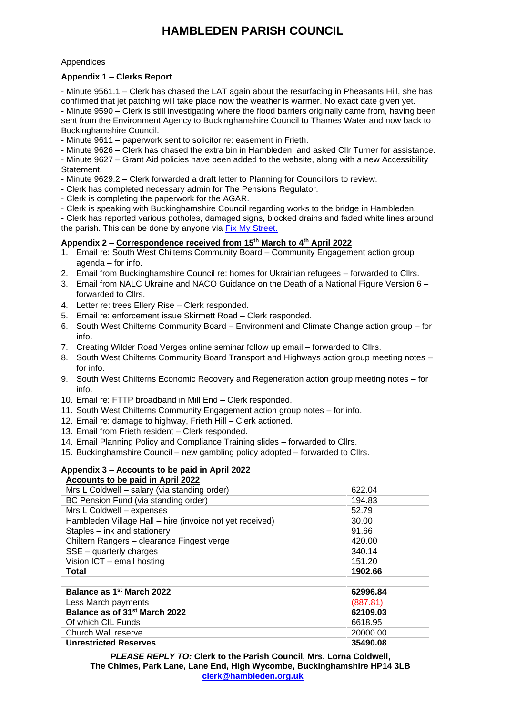# **HAMBLEDEN PARISH COUNCIL**

#### Appendices

#### <span id="page-1-0"></span>**Appendix 1 – Clerks Report**

- Minute 9561.1 – Clerk has chased the LAT again about the resurfacing in Pheasants Hill, she has confirmed that jet patching will take place now the weather is warmer. No exact date given yet. - Minute 9590 – Clerk is still investigating where the flood barriers originally came from, having been

sent from the Environment Agency to Buckinghamshire Council to Thames Water and now back to Buckinghamshire Council.

- Minute 9611 – paperwork sent to solicitor re: easement in Frieth.

- Minute 9626 – Clerk has chased the extra bin in Hambleden, and asked Cllr Turner for assistance.

- Minute 9627 – Grant Aid policies have been added to the website, along with a new Accessibility Statement.

- Minute 9629.2 Clerk forwarded a draft letter to Planning for Councillors to review.
- Clerk has completed necessary admin for The Pensions Regulator.
- Clerk is completing the paperwork for the AGAR.
- Clerk is speaking with Buckinghamshire Council regarding works to the bridge in Hambleden.

- Clerk has reported various potholes, damaged signs, blocked drains and faded white lines around the parish. This can be done by anyone via [Fix My Street.](https://www.fixmystreet.com/)

#### <span id="page-1-1"></span>**Appendix 2 – Correspondence received from 15th March to 4 th April 2022**

- 1. Email re: South West Chilterns Community Board Community Engagement action group agenda – for info.
- 2. Email from Buckinghamshire Council re: homes for Ukrainian refugees forwarded to Cllrs.
- 3. Email from NALC Ukraine and NACO Guidance on the Death of a National Figure Version 6 forwarded to Cllrs.
- 4. Letter re: trees Ellery Rise Clerk responded.
- 5. Email re: enforcement issue Skirmett Road Clerk responded.
- 6. South West Chilterns Community Board Environment and Climate Change action group for info.
- 7. Creating Wilder Road Verges online seminar follow up email forwarded to Cllrs.
- 8. South West Chilterns Community Board Transport and Highways action group meeting notes for info.
- 9. South West Chilterns Economic Recovery and Regeneration action group meeting notes for info.
- 10. Email re: FTTP broadband in Mill End Clerk responded.
- 11. South West Chilterns Community Engagement action group notes for info.
- 12. Email re: damage to highway, Frieth Hill Clerk actioned.
- 13. Email from Frieth resident Clerk responded.
- 14. Email Planning Policy and Compliance Training slides forwarded to Cllrs.
- 15. Buckinghamshire Council new gambling policy adopted forwarded to Cllrs.

### <span id="page-1-2"></span>**Appendix 3 – Accounts to be paid in April 2022**

| Accounts to be paid in April 2022                        |          |
|----------------------------------------------------------|----------|
| Mrs L Coldwell - salary (via standing order)             | 622.04   |
| BC Pension Fund (via standing order)                     | 194.83   |
| Mrs L Coldwell - expenses                                | 52.79    |
| Hambleden Village Hall - hire (invoice not yet received) | 30.00    |
| Staples - ink and stationery                             | 91.66    |
| Chiltern Rangers - clearance Fingest verge               | 420.00   |
| SSE - quarterly charges                                  | 340.14   |
| Vision ICT - email hosting                               | 151.20   |
| Total                                                    | 1902.66  |
|                                                          |          |
| Balance as 1 <sup>st</sup> March 2022                    | 62996.84 |
| Less March payments                                      | (887.81) |
| Balance as of 31 <sup>st</sup> March 2022                | 62109.03 |
| Of which CIL Funds                                       | 6618.95  |
| Church Wall reserve                                      | 20000.00 |
| <b>Unrestricted Reserves</b>                             | 35490.08 |

*PLEASE REPLY TO:* **Clerk to the Parish Council, Mrs. Lorna Coldwell, The Chimes, Park Lane, Lane End, High Wycombe, Buckinghamshire HP14 3LB [clerk@hambleden.org.uk](mailto:clerk@hambleden.org.uk)**